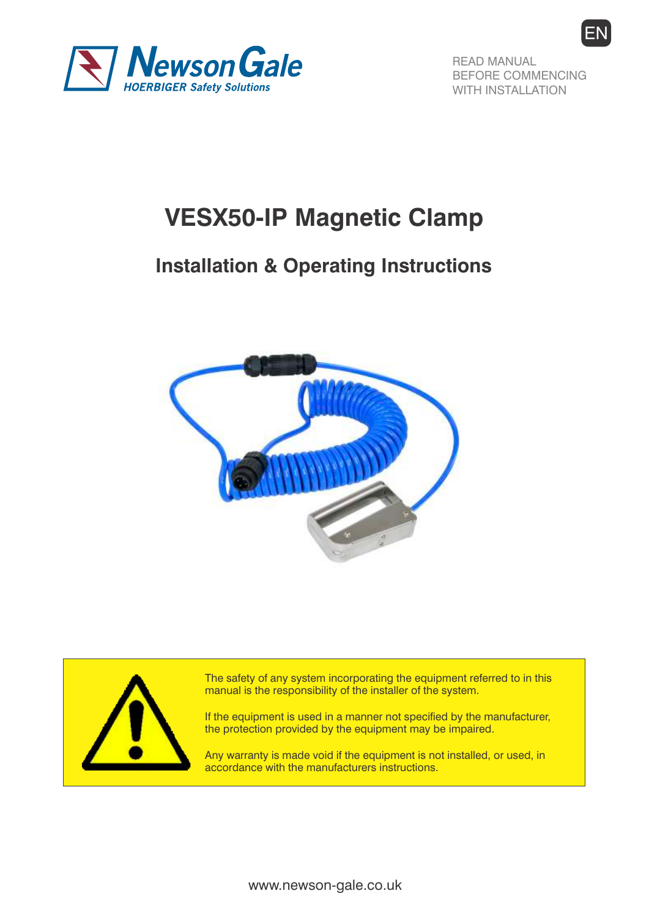

READ MANUAL BEFORE COMMENCING WITH INSTALLATION

EN

# **VESX50-IP Magnetic Clamp**

# **Installation & Operating Instructions**





The safety of any system incorporating the equipment referred to in this manual is the responsibility of the installer of the system.

If the equipment is used in a manner not specified by the manufacturer, the protection provided by the equipment may be impaired.

Any warranty is made void if the equipment is not installed, or used, in accordance with the manufacturers instructions.

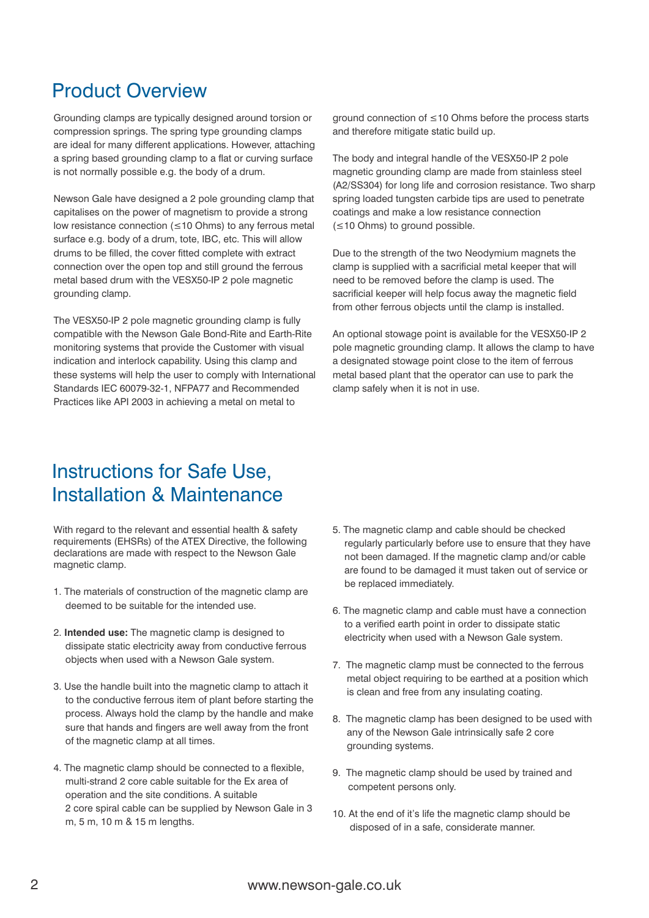### Product Overview

Grounding clamps are typically designed around torsion or compression springs. The spring type grounding clamps are ideal for many different applications. However, attaching a spring based grounding clamp to a flat or curving surface is not normally possible e.g. the body of a drum.

Newson Gale have designed a 2 pole grounding clamp that capitalises on the power of magnetism to provide a strong low resistance connection (≤10 Ohms) to any ferrous metal surface e.g. body of a drum, tote, IBC, etc. This will allow drums to be filled, the cover fitted complete with extract connection over the open top and still ground the ferrous metal based drum with the VESX50-IP 2 pole magnetic grounding clamp.

The VESX50-IP 2 pole magnetic grounding clamp is fully compatible with the Newson Gale Bond-Rite and Earth-Rite monitoring systems that provide the Customer with visual indication and interlock capability. Using this clamp and these systems will help the user to comply with International Standards IEC 60079-32-1, NFPA77 and Recommended Practices like API 2003 in achieving a metal on metal to

ground connection of ≤10 Ohms before the process starts and therefore mitigate static build up.

The body and integral handle of the VESX50-IP 2 pole magnetic grounding clamp are made from stainless steel (A2/SS304) for long life and corrosion resistance. Two sharp spring loaded tungsten carbide tips are used to penetrate coatings and make a low resistance connection (≤10 Ohms) to ground possible.

Due to the strength of the two Neodymium magnets the clamp is supplied with a sacrificial metal keeper that will need to be removed before the clamp is used. The sacrificial keeper will help focus away the magnetic field from other ferrous objects until the clamp is installed.

An optional stowage point is available for the VESX50-IP 2 pole magnetic grounding clamp. It allows the clamp to have a designated stowage point close to the item of ferrous metal based plant that the operator can use to park the clamp safely when it is not in use.

### Instructions for Safe Use, Installation & Maintenance

With regard to the relevant and essential health & safety requirements (EHSRs) of the ATEX Directive, the following declarations are made with respect to the Newson Gale magnetic clamp.

- 1. The materials of construction of the magnetic clamp are deemed to be suitable for the intended use.
- 2. **Intended use:** The magnetic clamp is designed to dissipate static electricity away from conductive ferrous objects when used with a Newson Gale system.
- 3. Use the handle built into the magnetic clamp to attach it to the conductive ferrous item of plant before starting the process. Always hold the clamp by the handle and make sure that hands and fingers are well away from the front of the magnetic clamp at all times.
- 4. The magnetic clamp should be connected to a flexible, multi-strand 2 core cable suitable for the Ex area of operation and the site conditions. A suitable 2 core spiral cable can be supplied by Newson Gale in 3 m, 5 m, 10 m & 15 m lengths.
- 5. The magnetic clamp and cable should be checked regularly particularly before use to ensure that they have not been damaged. If the magnetic clamp and/or cable are found to be damaged it must taken out of service or be replaced immediately.
- 6. The magnetic clamp and cable must have a connection to a verified earth point in order to dissipate static electricity when used with a Newson Gale system.
- 7. The magnetic clamp must be connected to the ferrous metal object requiring to be earthed at a position which is clean and free from any insulating coating.
- 8. The magnetic clamp has been designed to be used with any of the Newson Gale intrinsically safe 2 core grounding systems.
- 9. The magnetic clamp should be used by trained and competent persons only.
- 10. At the end of it's life the magnetic clamp should be disposed of in a safe, considerate manner.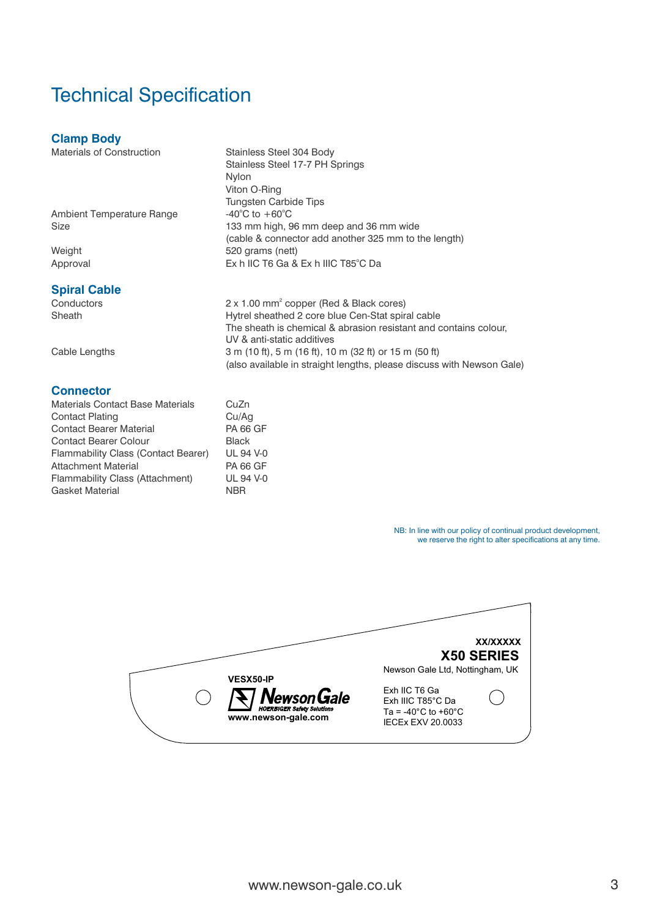# Technical Specification

### **Clamp Body**

Materials of Construction Stainless Steel 304 Body

Ambient Temperature Range

# **Spiral Cable**<br>Conductors

### **Connector**

| <b>Materials Contact Base Materials</b> | CuZn             |
|-----------------------------------------|------------------|
| <b>Contact Plating</b>                  | Cu/Aq            |
| <b>Contact Bearer Material</b>          | <b>PA 66 GF</b>  |
| <b>Contact Bearer Colour</b>            | <b>Black</b>     |
| Flammability Class (Contact Bearer)     | <b>UL 94 V-0</b> |
| <b>Attachment Material</b>              | <b>PA 66 GF</b>  |
| Flammability Class (Attachment)         | <b>UL 94 V-0</b> |
| <b>Gasket Material</b>                  | <b>NBR</b>       |

Stainless Steel 17-7 PH Springs Nylon Viton O-Ring Tungsten Carbide Tips -40 $^{\circ}$ C to +60 $^{\circ}$ C Size 133 mm high, 96 mm deep and 36 mm wide (cable & connector add another 325 mm to the length) Weight 620 grams (nett) o Approval Ex h IIC T6 Ga & Ex h IIIC T85 C Da

2 x 1.00 mm<sup>2</sup> copper (Red & Black cores)<br>
2 x 1.00 mm<sup>2</sup> copper (Red & Black cores)<br>
Hytrel sheathed 2 core blue Cen-Stat spir Hytrel sheathed 2 core blue Cen-Stat spiral cable The sheath is chemical & abrasion resistant and contains colour, UV & anti-static additives Cable Lengths 3 m (10 ft), 5 m (16 ft), 10 m (32 ft) or 15 m (50 ft) (also available in straight lengths, please discuss with Newson Gale)

> NB: In line with our policy of continual product development, we reserve the right to alter specifications at any time.

**XX/XXXXX X50 SERIES** Newson Gale Ltd, Nottingham, UK **VESX50-IP** Exh IIC T6 Ga Newson Gale Exh IIIC T85°C Da Ta =  $-40^{\circ}$ C to  $+60^{\circ}$ C **www.newson-gale.com** IECEx EXV 20.0033